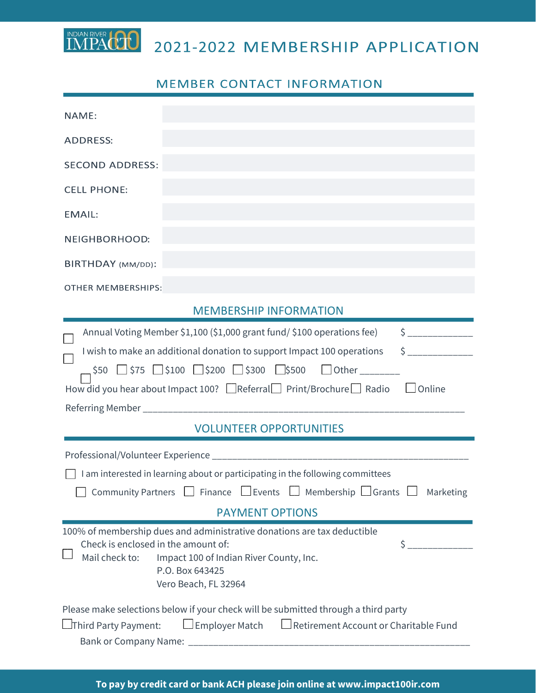2021-2022 MEMBERSHIP APPLICATION

## **MEMBER CONTACT INFORMATION**

IMPACTO

| NAME:                                                                                                                                                                                                                                                                                                                                                                                                                                                                                                                                                                   |
|-------------------------------------------------------------------------------------------------------------------------------------------------------------------------------------------------------------------------------------------------------------------------------------------------------------------------------------------------------------------------------------------------------------------------------------------------------------------------------------------------------------------------------------------------------------------------|
|                                                                                                                                                                                                                                                                                                                                                                                                                                                                                                                                                                         |
| <b>ADDRESS:</b>                                                                                                                                                                                                                                                                                                                                                                                                                                                                                                                                                         |
| <b>SECOND ADDRESS:</b>                                                                                                                                                                                                                                                                                                                                                                                                                                                                                                                                                  |
| <b>CELL PHONE:</b>                                                                                                                                                                                                                                                                                                                                                                                                                                                                                                                                                      |
| <b>EMAIL:</b>                                                                                                                                                                                                                                                                                                                                                                                                                                                                                                                                                           |
| NEIGHBORHOOD:                                                                                                                                                                                                                                                                                                                                                                                                                                                                                                                                                           |
| BIRTHDAY (MM/DD):                                                                                                                                                                                                                                                                                                                                                                                                                                                                                                                                                       |
| <b>OTHER MEMBERSHIPS:</b>                                                                                                                                                                                                                                                                                                                                                                                                                                                                                                                                               |
| <b>MEMBERSHIP INFORMATION</b>                                                                                                                                                                                                                                                                                                                                                                                                                                                                                                                                           |
| Annual Voting Member \$1,100 (\$1,000 grant fund/ \$100 operations fee)<br>I wish to make an additional donation to support Impact 100 operations<br>$$50$ $$75$ $$100$ $$200$ $$300$ $$500$ $$0$ ther _______<br>How did you hear about Impact 100? $\Box$ Referral $\Box$ Print/Brochure $\Box$ Radio $\Box$ Online<br><b>VOLUNTEER OPPORTUNITIES</b><br>I am interested in learning about or participating in the following committees<br>Community Partners $\Box$ Finance $\Box$ Events $\Box$ Membership $\Box$ Grants $\Box$ Marketing<br><b>PAYMENT OPTIONS</b> |
| 100% of membership dues and administrative donations are tax deductible<br>Check is enclosed in the amount of:<br>$\mathsf{\mathsf{S}}$<br>Mail check to:<br>Impact 100 of Indian River County, Inc.<br>P.O. Box 643425<br>Vero Beach, FL 32964<br>Please make selections below if your check will be submitted through a third party<br>$\Box$ Employer Match $\Box$ Retirement Account or Charitable Fund<br>$\Box$ Third Party Payment:                                                                                                                              |

**To pay by credit card or bank ACH please join online at www.impact100ir.com**